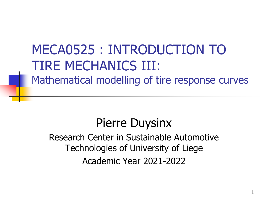# MECA0525 : INTRODUCTION TO TIRE MECHANICS III: Mathematical modelling of tire response curves

Pierre Duysinx Research Center in Sustainable Automotive Technologies of University of Liege Academic Year 2021-2022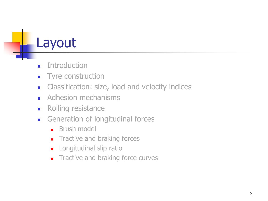# Layout

- **■** Introduction
- Tyre construction
- Classification: size, load and velocity indices
- Adhesion mechanisms
- Rolling resistance
- Generation of longitudinal forces
	- Brush model
	- Tractive and braking forces
	- Longitudinal slip ratio
	- Tractive and braking force curves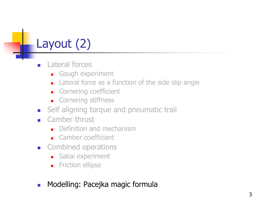# Layout (2)

- Lateral forces
	- Gough experiment
	- Lateral force as a function of the side slip angle
	- Cornering coefficient
	- Cornering stiffness
- Self aligning torque and pneumatic trail
- $\blacksquare$  Camber thrust
	- Definition and mechanism
	- Camber coefficient
- Combined operations
	- Sakai experiment
	- Friction ellipse
- Modelling: Pacejka magic formula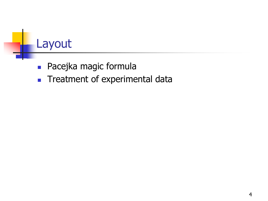# Layout

- Pacejka magic formula
- Treatment of experimental data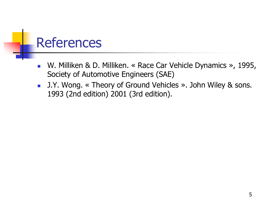# References

- W. Milliken & D. Milliken. « Race Car Vehicle Dynamics », 1995, Society of Automotive Engineers (SAE)
- J.Y. Wong. « Theory of Ground Vehicles ». John Wiley & sons. 1993 (2nd edition) 2001 (3rd edition).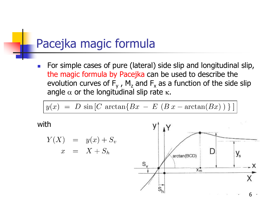■ For simple cases of pure (lateral) side slip and longitudinal slip, the magic formula by Pacejka can be used to describe the evolution curves of  $F_y$  ,  $M_z$  and  $F_x$  as a function of the side slip angle  $\alpha$  or the longitudinal slip rate  $\kappa$ .

$$
y(x) = D \sin [C \arctan[Bx - E (B x - \arctan(Bx)) ]]
$$

with

$$
Y(X) = y(x) + S_v
$$
  

$$
x = X + S_h
$$

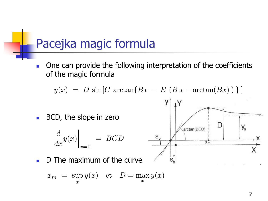■ One can provide the following interpretation of the coefficients of the magic formula

$$
y(x) = D \sin [C \arctan\{Bx - E (B x - \arctan(Bx))\}]
$$

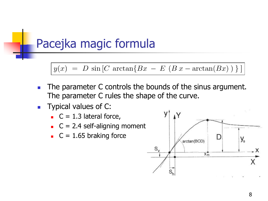$y(x) = D \sin [C \arctan{Bx - E (Bx - \arctan(Bx))}]$ 

- The parameter C controls the bounds of the sinus argument. The parameter C rules the shape of the curve.
- Typical values of C:
	- $C = 1.3$  lateral force,
	- $C = 2.4$  self-aligning moment
	- $C = 1.65$  braking force

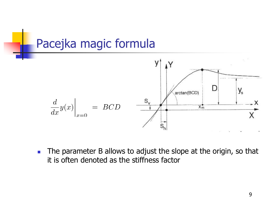

■ The parameter B allows to adjust the slope at the origin, so that it is often denoted as the stiffness factor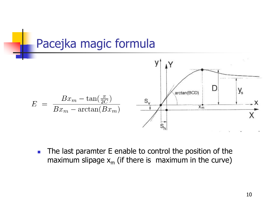

■ The last paramter E enable to control the position of the maximum slipage  $x_m$  (if there is maximum in the curve)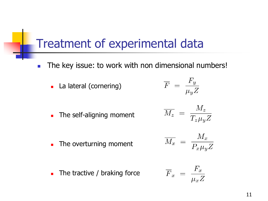- The key issue: to work with non dimensional numbers!
	- La lateral (cornering)

$$
\overline{F} \,\,=\,\,\frac{F_y}{\mu_y Z}
$$

■ The self-aligning moment

■ The overturning moment

 $\blacksquare$  The tractive / braking force

$$
\overline{M_z} \,\,=\,\, \frac{M_z}{T_z \mu_y Z}
$$

$$
\overline{M_x} \;=\; \frac{M_x}{P_x \mu_y Z}
$$

$$
\overline{F}_x \;=\; \frac{F_x}{\mu_x Z}
$$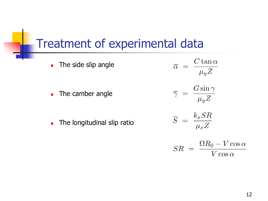■ The side slip angle

■ The camber angle

■ The longitudinal slip ratio

 $\overline{\alpha} = \frac{C \tan \alpha}{\mu_y Z}$  $\overline{\gamma} = \frac{G \sin \gamma}{\mu_y Z}$  $\overline{S} = \frac{k_x SR}{\mu_x Z}$  $\bigcap$   $\bigcap$  $T$   $\tau$ 

$$
SR = \frac{\Omega R_0 - V \cos \alpha}{V \cos \alpha}
$$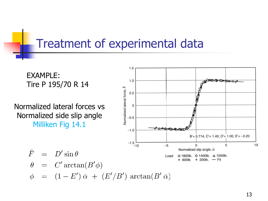EXAMPLE: Tire P 195/70 R 14

Normalized lateral forces vs Normalized side slip angle Milliken Fig 14.1

 $\bar{F} = D' \sin \theta$ 

 $\theta = C' \arctan(B' \phi)$ 



 $\phi = (1 - E') \bar{\alpha} + (E'/B') \arctan(B' \bar{\alpha})$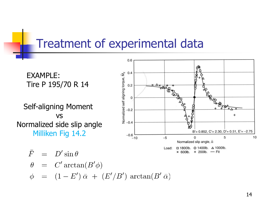EXAMPLE: Tire P 195/70 R 14

Self-aligning Moment vs Normalized side slip angle Milliken Fig 14.2



$$
F = D' \sin \theta
$$
  
\n
$$
\theta = C' \arctan(B' \phi)
$$
  
\n
$$
\phi = (1 - E') \bar{\alpha} + (E'/B') \arctan(B' \bar{\alpha})
$$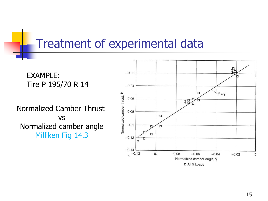EXAMPLE: Tire P 195/70 R 14

Normalized Camber Thrust vs Normalized camber angle Milliken Fig 14.3